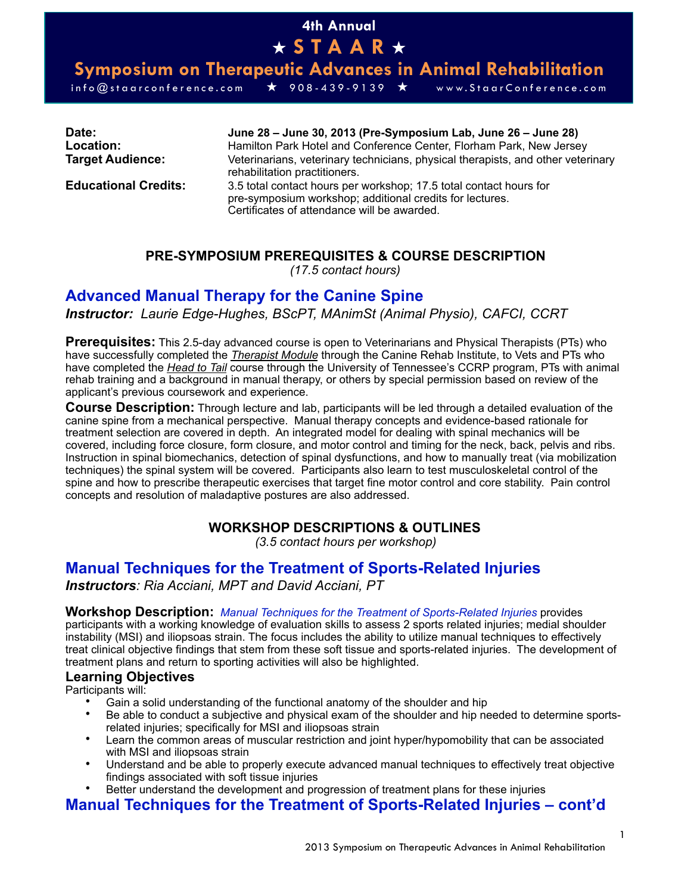# **4th Annual**  ★ **STAAR** ★

**Symposium on Therapeutic Advances in Animal Rehabilitation** 

info@staarconference.com ★ 908-439-9139 ★ www.StaarConference.com

**Date: June 28 – June 30, 2013 (Pre-Symposium Lab, June 26 – June 28) Location:** Hamilton Park Hotel and Conference Center, Florham Park, New Jersey **Target Audience:** Veterinarians, veterinary technicians, physical therapists, and other veterinary rehabilitation practitioners.

**Educational Credits:** 3.5 total contact hours per workshop; 17.5 total contact hours for pre-symposium workshop; additional credits for lectures. Certificates of attendance will be awarded.

## **PRE-SYMPOSIUM PREREQUISITES & COURSE DESCRIPTION**

*(17.5 contact hours)*

## **Advanced Manual Therapy for the Canine Spine**

*Instructor: Laurie Edge-Hughes, BScPT, MAnimSt (Animal Physio), CAFCI, CCRT*

**Prerequisites:** This 2.5-day advanced course is open to Veterinarians and Physical Therapists (PTs) who have successfully completed the *Therapist Module* through the Canine Rehab Institute, to Vets and PTs who have completed the *Head to Tail* course through the University of Tennessee's CCRP program, PTs with animal rehab training and a background in manual therapy, or others by special permission based on review of the applicant's previous coursework and experience.

**Course Description:** Through lecture and lab, participants will be led through a detailed evaluation of the canine spine from a mechanical perspective. Manual therapy concepts and evidence-based rationale for treatment selection are covered in depth. An integrated model for dealing with spinal mechanics will be covered, including force closure, form closure, and motor control and timing for the neck, back, pelvis and ribs. Instruction in spinal biomechanics, detection of spinal dysfunctions, and how to manually treat (via mobilization techniques) the spinal system will be covered. Participants also learn to test musculoskeletal control of the spine and how to prescribe therapeutic exercises that target fine motor control and core stability. Pain control concepts and resolution of maladaptive postures are also addressed.

## **WORKSHOP DESCRIPTIONS & OUTLINES**

*(3.5 contact hours per workshop)*

# **Manual Techniques for the Treatment of Sports-Related Injuries**

*Instructors: Ria Acciani, MPT and David Acciani, PT*

#### **Workshop Description:** *Manual Techniques for the Treatment of Sports-Related Injuries* provides

participants with a working knowledge of evaluation skills to assess 2 sports related injuries; medial shoulder instability (MSI) and iliopsoas strain. The focus includes the ability to utilize manual techniques to effectively treat clinical objective findings that stem from these soft tissue and sports-related injuries. The development of treatment plans and return to sporting activities will also be highlighted.

#### **Learning Objectives**

Participants will:

- Gain a solid understanding of the functional anatomy of the shoulder and hip
- Be able to conduct a subjective and physical exam of the shoulder and hip needed to determine sportsrelated injuries; specifically for MSI and iliopsoas strain
- Learn the common areas of muscular restriction and joint hyper/hypomobility that can be associated with MSI and iliopsoas strain
- Understand and be able to properly execute advanced manual techniques to effectively treat objective findings associated with soft tissue injuries
- Better understand the development and progression of treatment plans for these injuries

# **Manual Techniques for the Treatment of Sports-Related Injuries – cont'd**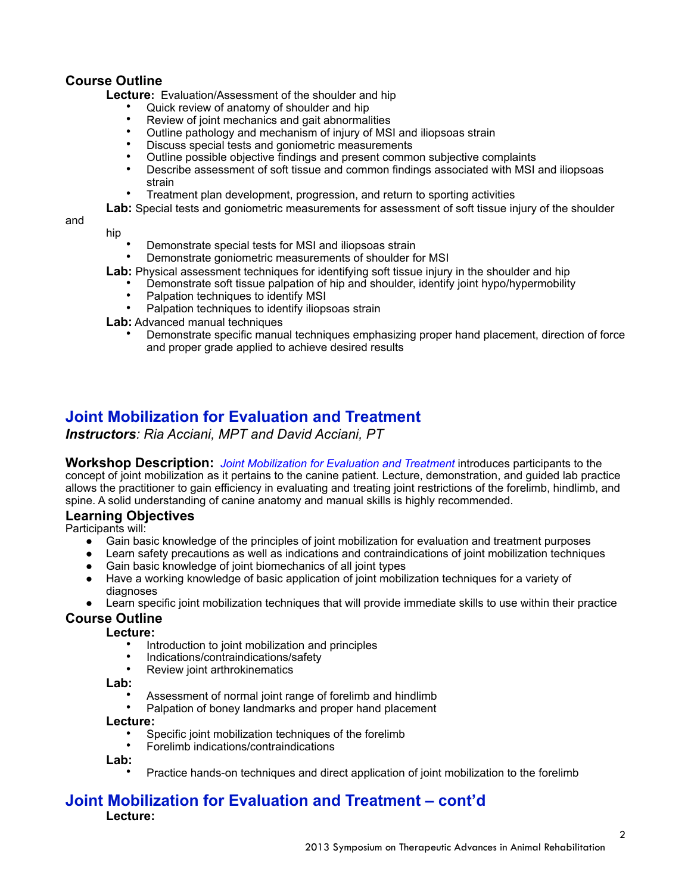## **Course Outline**

hip

**Lecture:** Evaluation/Assessment of the shoulder and hip

- Quick review of anatomy of shoulder and hip
- Review of joint mechanics and gait abnormalities<br>• Outline pathology and mechanism of injury of MS
- Outline pathology and mechanism of injury of MSI and iliopsoas strain<br>• Discuss special tests and goniometric measurements
- Discuss special tests and goniometric measurements
- Outline possible objective findings and present common subjective complaints
- Describe assessment of soft tissue and common findings associated with MSI and iliopsoas strain
- Treatment plan development, progression, and return to sporting activities

 **Lab:** Special tests and goniometric measurements for assessment of soft tissue injury of the shoulder

and

- Demonstrate special tests for MSI and iliopsoas strain
- Demonstrate goniometric measurements of shoulder for MSI

**Lab:** Physical assessment techniques for identifying soft tissue injury in the shoulder and hip

- Demonstrate soft tissue palpation of hip and shoulder, identify joint hypo/hypermobility
	- Palpation techniques to identify MSI
- Palpation techniques to identify iliopsoas strain

 **Lab:** Advanced manual techniques

• Demonstrate specific manual techniques emphasizing proper hand placement, direction of force and proper grade applied to achieve desired results

## **Joint Mobilization for Evaluation and Treatment**

*Instructors: Ria Acciani, MPT and David Acciani, PT*

**Workshop Description:** *Joint Mobilization for Evaluation and Treatment* introduces participants to the concept of joint mobilization as it pertains to the canine patient. Lecture, demonstration, and guided lab practice allows the practitioner to gain efficiency in evaluating and treating joint restrictions of the forelimb, hindlimb, and spine. A solid understanding of canine anatomy and manual skills is highly recommended.

#### **Learning Objectives**

Participants will:

- Gain basic knowledge of the principles of joint mobilization for evaluation and treatment purposes
- Learn safety precautions as well as indications and contraindications of joint mobilization techniques
- Gain basic knowledge of joint biomechanics of all joint types
- Have a working knowledge of basic application of joint mobilization techniques for a variety of diagnoses
- Learn specific joint mobilization techniques that will provide immediate skills to use within their practice

#### **Course Outline**

**Lecture:**

- Introduction to joint mobilization and principles
- Indications/contraindications/safety
- Review joint arthrokinematics

**Lab:**

- Assessment of normal joint range of forelimb and hindlimb
- Palpation of boney landmarks and proper hand placement

**Lecture:**

- Specific joint mobilization techniques of the forelimb
- Forelimb indications/contraindications
- **Lab:**
	- Practice hands-on techniques and direct application of joint mobilization to the forelimb

## **Joint Mobilization for Evaluation and Treatment – cont'd Lecture:**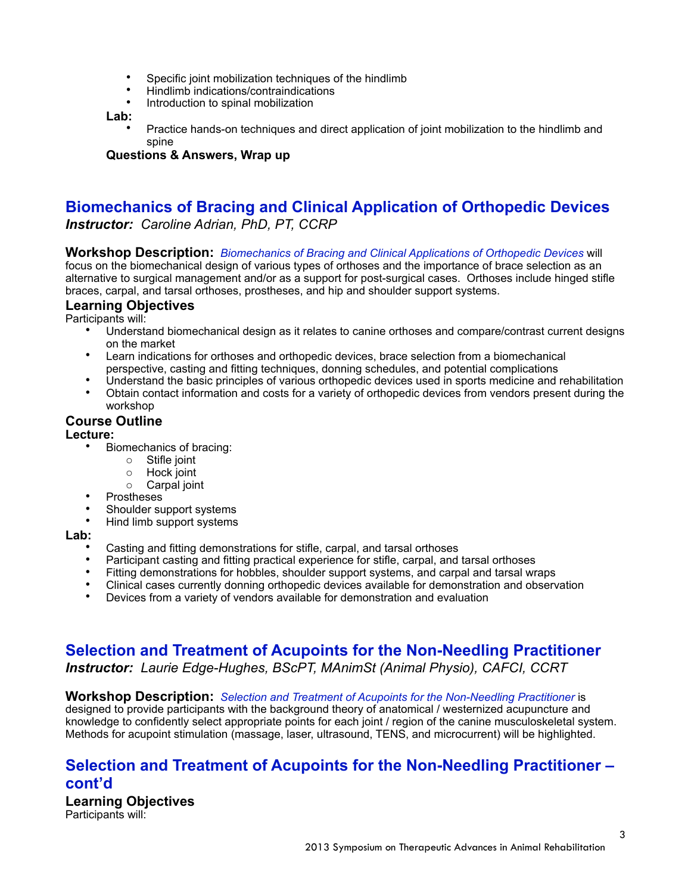- Specific joint mobilization techniques of the hindlimb
- Hindlimb indications/contraindications
- Introduction to spinal mobilization

**Lab:** 

• Practice hands-on techniques and direct application of joint mobilization to the hindlimb and spine

**Questions & Answers, Wrap up** 

# **Biomechanics of Bracing and Clinical Application of Orthopedic Devices**

*Instructor: Caroline Adrian, PhD, PT, CCRP*

#### **Workshop Description:** *Biomechanics of Bracing and Clinical Applications of Orthopedic Devices* will

focus on the biomechanical design of various types of orthoses and the importance of brace selection as an alternative to surgical management and/or as a support for post-surgical cases. Orthoses include hinged stifle braces, carpal, and tarsal orthoses, prostheses, and hip and shoulder support systems.

#### **Learning Objectives**

Participants will:

- Understand biomechanical design as it relates to canine orthoses and compare/contrast current designs on the market
- Learn indications for orthoses and orthopedic devices, brace selection from a biomechanical perspective, casting and fitting techniques, donning schedules, and potential complications
- Understand the basic principles of various orthopedic devices used in sports medicine and rehabilitation
- Obtain contact information and costs for a variety of orthopedic devices from vendors present during the workshop

## **Course Outline**

#### **Lecture:**

- Biomechanics of bracing:
	- o Stifle joint
	- o Hock joint
	- o Carpal joint
- Prostheses
- Shoulder support systems
- Hind limb support systems

**Lab:** 

- Casting and fitting demonstrations for stifle, carpal, and tarsal orthoses
- Participant casting and fitting practical experience for stifle, carpal, and tarsal orthoses<br>• Fitting demonstrations for bobbles, shoulder support systems, and carpal and tarsal wr
- Fitting demonstrations for hobbles, shoulder support systems, and carpal and tarsal wraps
- Clinical cases currently donning orthopedic devices available for demonstration and observation
- Devices from a variety of vendors available for demonstration and evaluation

# **Selection and Treatment of Acupoints for the Non-Needling Practitioner**

*Instructor: Laurie Edge-Hughes, BScPT, MAnimSt (Animal Physio), CAFCI, CCRT* 

#### **Workshop Description:** *Selection and Treatment of Acupoints for the Non-Needling Practitioner* is

designed to provide participants with the background theory of anatomical / westernized acupuncture and knowledge to confidently select appropriate points for each joint / region of the canine musculoskeletal system. Methods for acupoint stimulation (massage, laser, ultrasound, TENS, and microcurrent) will be highlighted.

## **Selection and Treatment of Acupoints for the Non-Needling Practitioner – cont'd**

**Learning Objectives**  Participants will: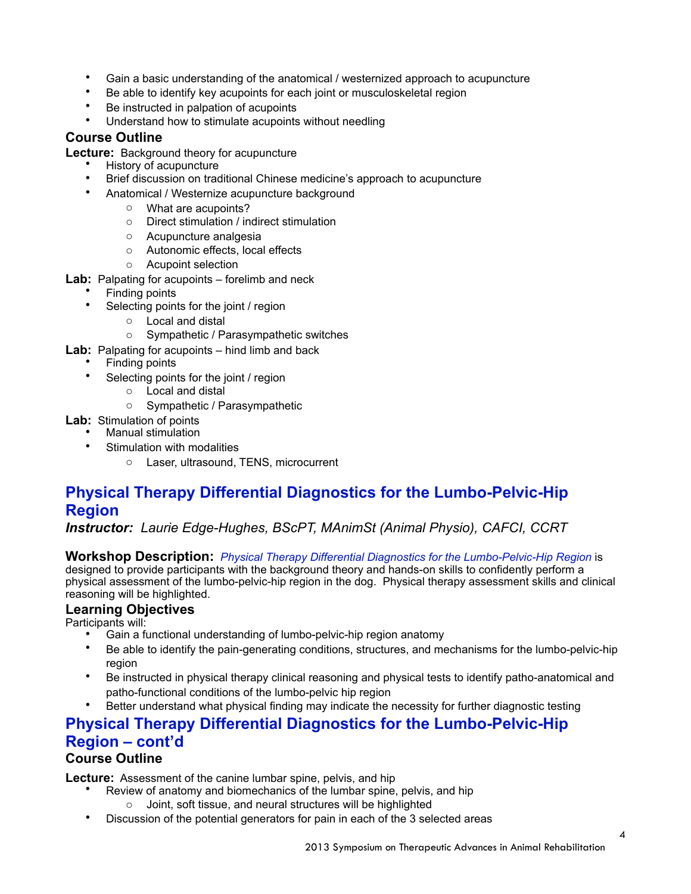- Gain a basic understanding of the anatomical / westernized approach to acupuncture
- Be able to identify key acupoints for each joint or musculoskeletal region
- Be instructed in palpation of acupoints
- Understand how to stimulate acupoints without needling

## **Course Outline**

**Lecture:** Background theory for acupuncture

- History of acupuncture
- Brief discussion on traditional Chinese medicine's approach to acupuncture
- Anatomical / Westernize acupuncture background
	- o What are acupoints?
	- o Direct stimulation / indirect stimulation
	- o Acupuncture analgesia
	- o Autonomic effects, local effects
	- o Acupoint selection
- Lab: Palpating for acupoints forelimb and neck
	- Finding points
	- Selecting points for the joint / region
		- o Local and distal
		- o Sympathetic / Parasympathetic switches
- **Lab:** Palpating for acupoints hind limb and back
	- Finding points
		- Selecting points for the joint / region
			- o Local and distal
			- o Sympathetic / Parasympathetic
- **Lab:** Stimulation of points
	- Manual stimulation
	- Stimulation with modalities
		- o Laser, ultrasound, TENS, microcurrent

# **Physical Therapy Differential Diagnostics for the Lumbo-Pelvic-Hip Region**

*Instructor: Laurie Edge-Hughes, BScPT, MAnimSt (Animal Physio), CAFCI, CCRT* 

**Workshop Description:** *Physical Therapy Differential Diagnostics for the Lumbo-Pelvic-Hip Region* is

designed to provide participants with the background theory and hands-on skills to confidently perform a physical assessment of the lumbo-pelvic-hip region in the dog. Physical therapy assessment skills and clinical reasoning will be highlighted.

#### **Learning Objectives**

Participants will:

- Gain a functional understanding of lumbo-pelvic-hip region anatomy
- Be able to identify the pain-generating conditions, structures, and mechanisms for the lumbo-pelvic-hip region
- Be instructed in physical therapy clinical reasoning and physical tests to identify patho-anatomical and patho-functional conditions of the lumbo-pelvic hip region
- Better understand what physical finding may indicate the necessity for further diagnostic testing

## **Physical Therapy Differential Diagnostics for the Lumbo-Pelvic-Hip Region – cont'd Course Outline**

**Lecture:** Assessment of the canine lumbar spine, pelvis, and hip

- Review of anatomy and biomechanics of the lumbar spine, pelvis, and hip
	- Joint, soft tissue, and neural structures will be highlighted
- Discussion of the potential generators for pain in each of the 3 selected areas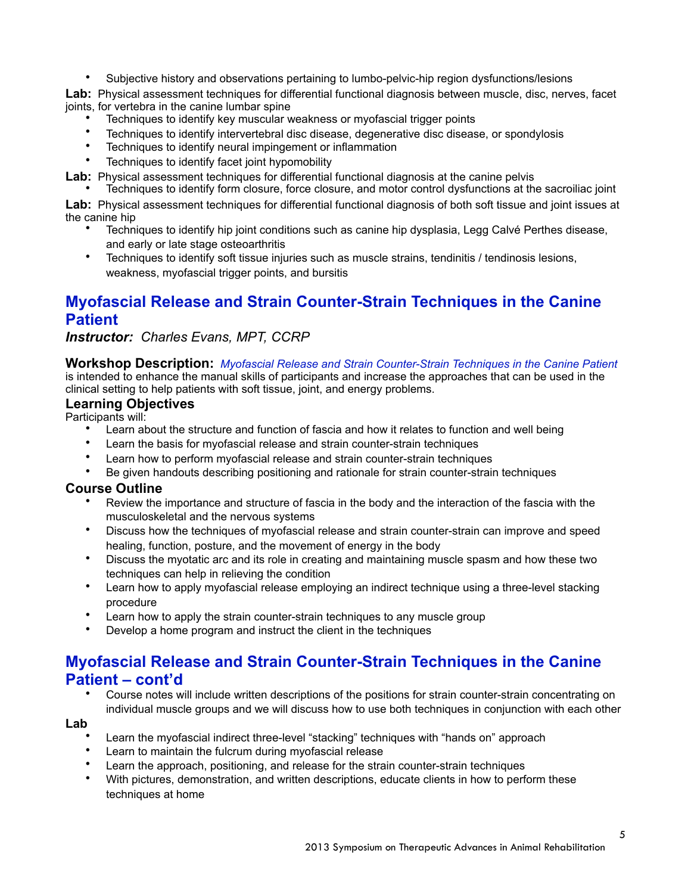• Subjective history and observations pertaining to lumbo-pelvic-hip region dysfunctions/lesions

**Lab:** Physical assessment techniques for differential functional diagnosis between muscle, disc, nerves, facet joints, for vertebra in the canine lumbar spine

- Techniques to identify key muscular weakness or myofascial trigger points
- Techniques to identify intervertebral disc disease, degenerative disc disease, or spondylosis
- Techniques to identify neural impingement or inflammation
- Techniques to identify facet joint hypomobility

**Lab:** Physical assessment techniques for differential functional diagnosis at the canine pelvis

• Techniques to identify form closure, force closure, and motor control dysfunctions at the sacroiliac joint

**Lab:** Physical assessment techniques for differential functional diagnosis of both soft tissue and joint issues at the canine hip

- Techniques to identify hip joint conditions such as canine hip dysplasia, Legg Calvé Perthes disease, and early or late stage osteoarthritis
- Techniques to identify soft tissue injuries such as muscle strains, tendinitis / tendinosis lesions, weakness, myofascial trigger points, and bursitis

# **Myofascial Release and Strain Counter-Strain Techniques in the Canine Patient**

*Instructor: Charles Evans, MPT, CCRP* 

## **Workshop Description:** *Myofascial Release and Strain Counter-Strain Techniques in the Canine Patient*

is intended to enhance the manual skills of participants and increase the approaches that can be used in the clinical setting to help patients with soft tissue, joint, and energy problems.

## **Learning Objectives**

Participants will:

- Learn about the structure and function of fascia and how it relates to function and well being
- Learn the basis for myofascial release and strain counter-strain techniques
- Learn how to perform myofascial release and strain counter-strain techniques
- Be given handouts describing positioning and rationale for strain counter-strain techniques

#### **Course Outline**

- Review the importance and structure of fascia in the body and the interaction of the fascia with the musculoskeletal and the nervous systems
- Discuss how the techniques of myofascial release and strain counter-strain can improve and speed healing, function, posture, and the movement of energy in the body
- Discuss the myotatic arc and its role in creating and maintaining muscle spasm and how these two techniques can help in relieving the condition
- Learn how to apply myofascial release employing an indirect technique using a three-level stacking procedure
- Learn how to apply the strain counter-strain techniques to any muscle group
- Develop a home program and instruct the client in the techniques

## **Myofascial Release and Strain Counter-Strain Techniques in the Canine Patient – cont'd**

• Course notes will include written descriptions of the positions for strain counter-strain concentrating on individual muscle groups and we will discuss how to use both techniques in conjunction with each other

#### **Lab**

- Learn the myofascial indirect three-level "stacking" techniques with "hands on" approach
- Learn to maintain the fulcrum during myofascial release
- Learn the approach, positioning, and release for the strain counter-strain techniques
- With pictures, demonstration, and written descriptions, educate clients in how to perform these techniques at home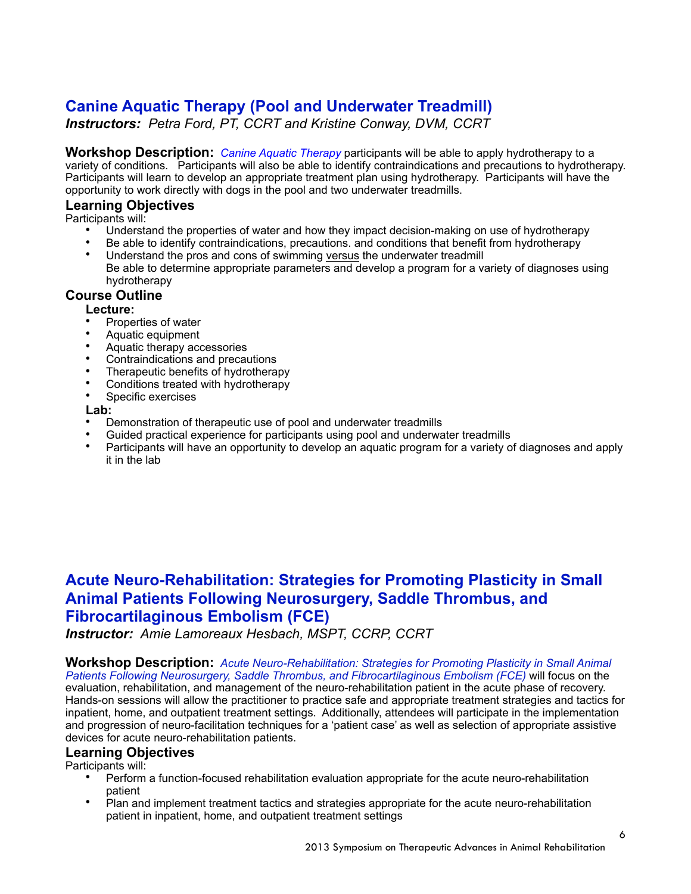# **Canine Aquatic Therapy (Pool and Underwater Treadmill)**

*Instructors: Petra Ford, PT, CCRT and Kristine Conway, DVM, CCRT* 

**Workshop Description:** *Canine Aquatic Therapy* participants will be able to apply hydrotherapy to a variety of conditions. Participants will also be able to identify contraindications and precautions to hydrotherapy. Participants will learn to develop an appropriate treatment plan using hydrotherapy. Participants will have the opportunity to work directly with dogs in the pool and two underwater treadmills.

### **Learning Objectives**

Participants will:

- Understand the properties of water and how they impact decision-making on use of hydrotherapy
- Be able to identify contraindications, precautions. and conditions that benefit from hydrotherapy
- Understand the pros and cons of swimming versus the underwater treadmill Be able to determine appropriate parameters and develop a program for a variety of diagnoses using hydrotherapy

## **Course Outline**

#### **Lecture:**

- Properties of water
- Aquatic equipment
- Aquatic therapy accessories
- Contraindications and precautions
- Therapeutic benefits of hydrotherapy
- Conditions treated with hydrotherapy
- Specific exercises

#### **Lab:**

- Demonstration of therapeutic use of pool and underwater treadmills
- Guided practical experience for participants using pool and underwater treadmills
- Participants will have an opportunity to develop an aquatic program for a variety of diagnoses and apply it in the lab

# **Acute Neuro-Rehabilitation: Strategies for Promoting Plasticity in Small Animal Patients Following Neurosurgery, Saddle Thrombus, and Fibrocartilaginous Embolism (FCE)**

*Instructor: Amie Lamoreaux Hesbach, MSPT, CCRP, CCRT* 

**Workshop Description:** *Acute Neuro-Rehabilitation: Strategies for Promoting Plasticity in Small Animal Patients Following Neurosurgery, Saddle Thrombus, and Fibrocartilaginous Embolism (FCE)* will focus on the evaluation, rehabilitation, and management of the neuro-rehabilitation patient in the acute phase of recovery. Hands-on sessions will allow the practitioner to practice safe and appropriate treatment strategies and tactics for inpatient, home, and outpatient treatment settings. Additionally, attendees will participate in the implementation and progression of neuro-facilitation techniques for a 'patient case' as well as selection of appropriate assistive devices for acute neuro-rehabilitation patients.

## **Learning Objectives**

Participants will:

- Perform a function-focused rehabilitation evaluation appropriate for the acute neuro-rehabilitation patient
- Plan and implement treatment tactics and strategies appropriate for the acute neuro-rehabilitation patient in inpatient, home, and outpatient treatment settings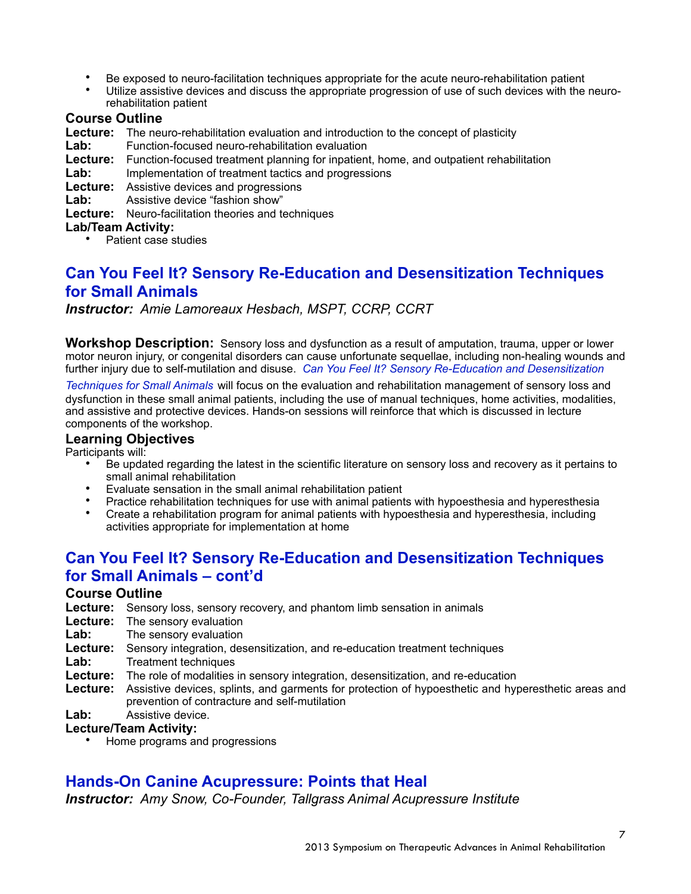- Be exposed to neuro-facilitation techniques appropriate for the acute neuro-rehabilitation patient
- Utilize assistive devices and discuss the appropriate progression of use of such devices with the neurorehabilitation patient

## **Course Outline**

**Lecture:** The neuro-rehabilitation evaluation and introduction to the concept of plasticity

- Lab: Function-focused neuro-rehabilitation evaluation
- **Lecture:** Function-focused treatment planning for inpatient, home, and outpatient rehabilitation
- Lab: Implementation of treatment tactics and progressions

**Lecture:** Assistive devices and progressions

Lab: Assistive device "fashion show"

**Lecture:** Neuro-facilitation theories and techniques

#### **Lab/Team Activity:**

• Patient case studies

# **Can You Feel It? Sensory Re-Education and Desensitization Techniques for Small Animals**

*Instructor: Amie Lamoreaux Hesbach, MSPT, CCRP, CCRT* 

**Workshop Description:** Sensory loss and dysfunction as a result of amputation, trauma, upper or lower motor neuron injury, or congenital disorders can cause unfortunate sequellae, including non-healing wounds and further injury due to self-mutilation and disuse. *Can You Feel It? Sensory Re-Education and Desensitization* 

*Techniques for Small Animals* will focus on the evaluation and rehabilitation management of sensory loss and dysfunction in these small animal patients, including the use of manual techniques, home activities, modalities, and assistive and protective devices. Hands-on sessions will reinforce that which is discussed in lecture components of the workshop.

#### **Learning Objectives**

Participants will:

- Be updated regarding the latest in the scientific literature on sensory loss and recovery as it pertains to small animal rehabilitation
- Evaluate sensation in the small animal rehabilitation patient
- Evaluate sensation in the strike animal renewation patients with hypoesthesia and hyperesthesia<br>• Practice rehabilitation techniques for use with animal patients with hypoesthesia and hyperesthesia
- Create a rehabilitation program for animal patients with hypoesthesia and hyperesthesia, including activities appropriate for implementation at home

# **Can You Feel It? Sensory Re-Education and Desensitization Techniques for Small Animals – cont'd**

#### **Course Outline**

- **Lecture:** Sensory loss, sensory recovery, and phantom limb sensation in animals
- Lecture: The sensory evaluation
- Lab: The sensory evaluation
- **Lecture:** Sensory integration, desensitization, and re-education treatment techniques
- Lab: Treatment techniques
- **Lecture:** The role of modalities in sensory integration, desensitization, and re-education
- **Lecture:** Assistive devices, splints, and garments for protection of hypoesthetic and hyperesthetic areas and prevention of contracture and self-mutilation
- **Lab:** Assistive device.

#### **Lecture/Team Activity:**

• Home programs and progressions

## **Hands-On Canine Acupressure: Points that Heal**

*Instructor: Amy Snow, Co-Founder, Tallgrass Animal Acupressure Institute*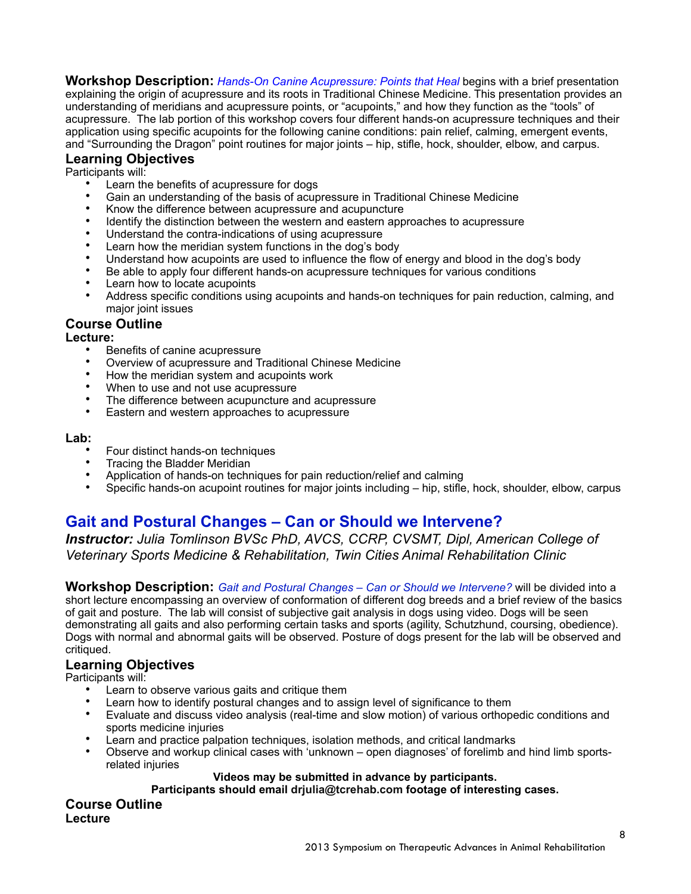**Workshop Description:** *Hands-On Canine Acupressure: Points that Heal* begins with a brief presentation explaining the origin of acupressure and its roots in Traditional Chinese Medicine. This presentation provides an understanding of meridians and acupressure points, or "acupoints," and how they function as the "tools" of acupressure. The lab portion of this workshop covers four different hands-on acupressure techniques and their application using specific acupoints for the following canine conditions: pain relief, calming, emergent events, and "Surrounding the Dragon" point routines for major joints – hip, stifle, hock, shoulder, elbow, and carpus.

## **Learning Objectives**

Participants will:

- Learn the benefits of acupressure for dogs
- Gain an understanding of the basis of acupressure in Traditional Chinese Medicine
- Know the difference between acupressure and acupuncture
- Identify the distinction between the western and eastern approaches to acupressure
- Understand the contra-indications of using acupressure<br>• Learn bow the meridian system functions in the doo's bo
- Learn how the meridian system functions in the dog's body
- Understand how acupoints are used to influence the flow of energy and blood in the dog's body
- Be able to apply four different hands-on acupressure techniques for various conditions
- Learn how to locate acupoints
- Address specific conditions using acupoints and hands-on techniques for pain reduction, calming, and major joint issues

#### **Course Outline**

#### **Lecture:**

- Benefits of canine acupressure
- Overview of acupressure and Traditional Chinese Medicine
- How the meridian system and acupoints work
- When to use and not use acupressure
- The difference between acupuncture and acupressure
- Eastern and western approaches to acupressure

#### **Lab:**

- Four distinct hands-on techniques
- Tracing the Bladder Meridian
- Application of hands-on techniques for pain reduction/relief and calming
- Specific hands-on acupoint routines for major joints including hip, stifle, hock, shoulder, elbow, carpus

# **Gait and Postural Changes – Can or Should we Intervene?**

*Instructor: Julia Tomlinson BVSc PhD, AVCS, CCRP, CVSMT, Dipl, American College of Veterinary Sports Medicine & Rehabilitation, Twin Cities Animal Rehabilitation Clinic* 

**Workshop Description:** *Gait and Postural Changes – Can or Should we Intervene?* will be divided into a short lecture encompassing an overview of conformation of different dog breeds and a brief review of the basics of gait and posture. The lab will consist of subjective gait analysis in dogs using video. Dogs will be seen demonstrating all gaits and also performing certain tasks and sports (agility, Schutzhund, coursing, obedience). Dogs with normal and abnormal gaits will be observed. Posture of dogs present for the lab will be observed and critiqued.

#### **Learning Objectives**

Participants will:

- Learn to observe various gaits and critique them
- Learn how to identify postural changes and to assign level of significance to them
- Evaluate and discuss video analysis (real-time and slow motion) of various orthopedic conditions and sports medicine injuries
- Learn and practice palpation techniques, isolation methods, and critical landmarks
- Observe and workup clinical cases with 'unknown open diagnoses' of forelimb and hind limb sportsrelated injuries

#### **Videos may be submitted in advance by participants.**

**Participants should email [drjulia@tcrehab.com](mailto:drjulia@tcrehab.com) footage of interesting cases.**

**Course Outline Lecture**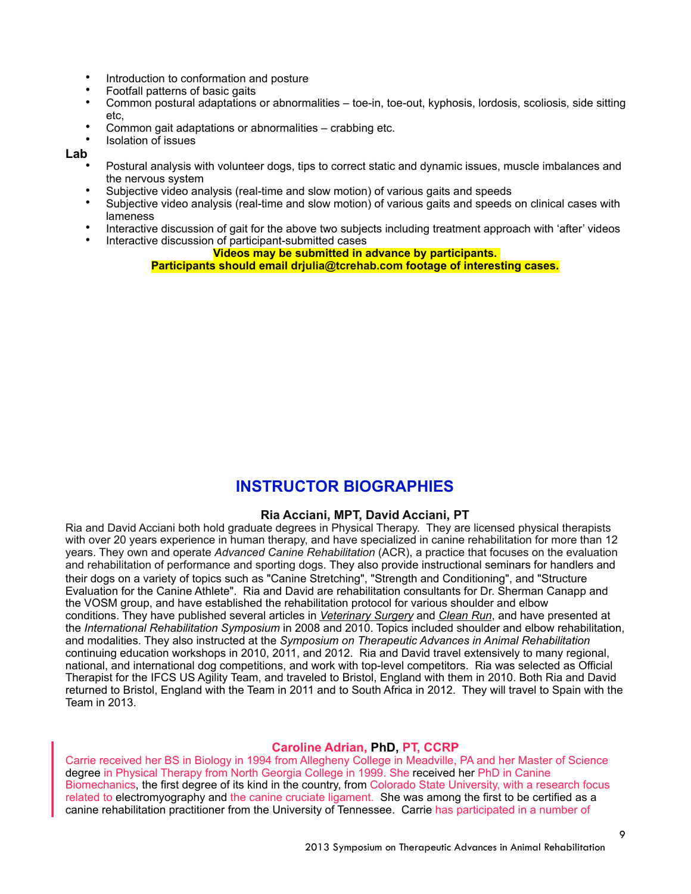- Introduction to conformation and posture
- Footfall patterns of basic gaits
- Common postural adaptations or abnormalities toe-in, toe-out, kyphosis, lordosis, scoliosis, side sitting etc,
- Common gait adaptations or abnormalities crabbing etc.
- Isolation of issues

#### **Lab**

- Postural analysis with volunteer dogs, tips to correct static and dynamic issues, muscle imbalances and the nervous system
- Subjective video analysis (real-time and slow motion) of various gaits and speeds<br>• Subjective video analysis (real time and slow motion) of various gaits and speeds
- Subjective video analysis (real-time and slow motion) of various gaits and speeds on clinical cases with lameness
- Interactive discussion of gait for the above two subjects including treatment approach with 'after' videos
	- Interactive discussion of participant-submitted cases

#### **Videos may be submitted in advance by participants.**

**Participants should email [drjulia@tcrehab.com](mailto:drjulia@tcrehab.com) footage of interesting cases.**

## **INSTRUCTOR BIOGRAPHIES**

#### **Ria Acciani, MPT, David Acciani, PT**

Ria and David Acciani both hold graduate degrees in Physical Therapy. They are licensed physical therapists with over 20 years experience in human therapy, and have specialized in canine rehabilitation for more than 12 years. They own and operate *Advanced Canine Rehabilitation* (ACR), a practice that focuses on the evaluation and rehabilitation of performance and sporting dogs. They also provide instructional seminars for handlers and their dogs on a variety of topics such as "Canine Stretching", "Strength and Conditioning", and "Structure Evaluation for the Canine Athlete". Ria and David are rehabilitation consultants for Dr. Sherman Canapp and the VOSM group, and have established the rehabilitation protocol for various shoulder and elbow conditions. They have published several articles in *Veterinary Surgery* and *Clean Run*, and have presented at the *International Rehabilitation Symposium* in 2008 and 2010. Topics included shoulder and elbow rehabilitation, and modalities. They also instructed at the *Symposium on Therapeutic Advances in Animal Rehabilitation*  continuing education workshops in 2010, 2011, and 2012. Ria and David travel extensively to many regional, national, and international dog competitions, and work with top-level competitors. Ria was selected as Official Therapist for the IFCS US Agility Team, and traveled to Bristol, England with them in 2010. Both Ria and David returned to Bristol, England with the Team in 2011 and to South Africa in 2012. They will travel to Spain with the Team in 2013.

#### **Caroline Adrian, PhD, PT, CCRP**

Carrie received her BS in Biology in 1994 from Allegheny College in Meadville, PA and her Master of Science degree in Physical Therapy from North Georgia College in 1999. She received her PhD in Canine Biomechanics, the first degree of its kind in the country, from Colorado State University, with a research focus related to electromyography and the canine cruciate ligament. She was among the first to be certified as a canine rehabilitation practitioner from the University of Tennessee. Carrie has participated in a number of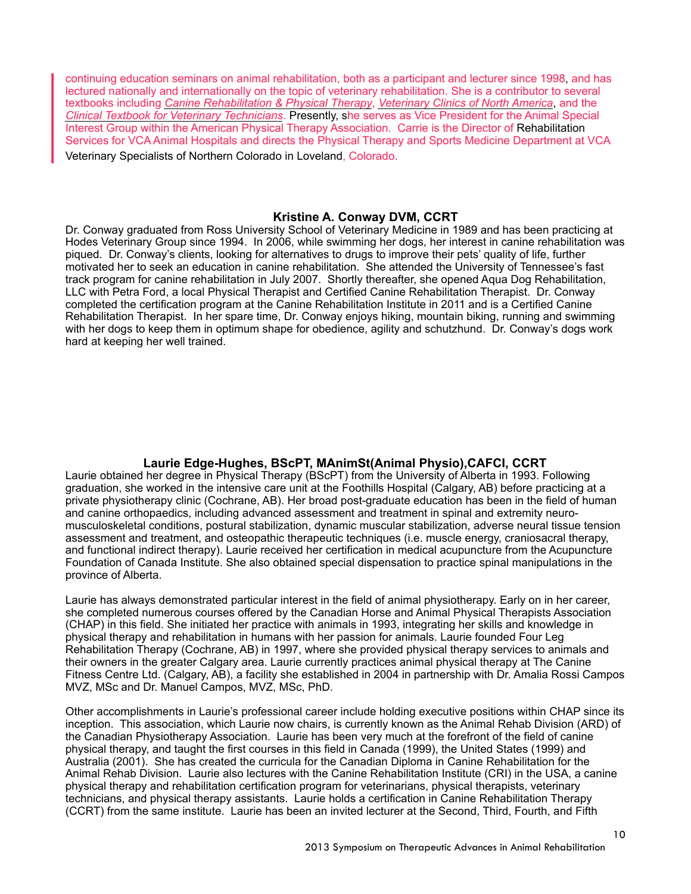continuing education seminars on animal rehabilitation, both as a participant and lecturer since 1998, and has lectured nationally and internationally on the topic of veterinary rehabilitation. She is a contributor to several textbooks including *Canine Rehabilitation & Physical Therapy*, *Veterinary Clinics of North America*, and the *Clinical Textbook for Veterinary Technicians*. Presently, she serves as Vice President for the Animal Special Interest Group within the American Physical Therapy Association. Carrie is the Director of Rehabilitation Services for VCA Animal Hospitals and directs the Physical Therapy and Sports Medicine Department at VCA Veterinary Specialists of Northern Colorado in Loveland, Colorado.

#### **Kristine A. Conway DVM, CCRT**

Dr. Conway graduated from Ross University School of Veterinary Medicine in 1989 and has been practicing at Hodes Veterinary Group since 1994. In 2006, while swimming her dogs, her interest in canine rehabilitation was piqued. Dr. Conway's clients, looking for alternatives to drugs to improve their pets' quality of life, further motivated her to seek an education in canine rehabilitation. She attended the University of Tennessee's fast track program for canine rehabilitation in July 2007. Shortly thereafter, she opened Aqua Dog Rehabilitation, LLC with Petra Ford, a local Physical Therapist and Certified Canine Rehabilitation Therapist. Dr. Conway completed the certification program at the Canine Rehabilitation Institute in 2011 and is a Certified Canine Rehabilitation Therapist. In her spare time, Dr. Conway enjoys hiking, mountain biking, running and swimming with her dogs to keep them in optimum shape for obedience, agility and schutzhund. Dr. Conway's dogs work hard at keeping her well trained.

## **Laurie Edge-Hughes, BScPT, MAnimSt(Animal Physio),CAFCI, CCRT**

Laurie obtained her degree in Physical Therapy (BScPT) from the University of Alberta in 1993. Following graduation, she worked in the intensive care unit at the Foothills Hospital (Calgary, AB) before practicing at a private physiotherapy clinic (Cochrane, AB). Her broad post-graduate education has been in the field of human and canine orthopaedics, including advanced assessment and treatment in spinal and extremity neuromusculoskeletal conditions, postural stabilization, dynamic muscular stabilization, adverse neural tissue tension assessment and treatment, and osteopathic therapeutic techniques (i.e. muscle energy, craniosacral therapy, and functional indirect therapy). Laurie received her certification in medical acupuncture from the Acupuncture Foundation of Canada Institute. She also obtained special dispensation to practice spinal manipulations in the province of Alberta.

Laurie has always demonstrated particular interest in the field of animal physiotherapy. Early on in her career, she completed numerous courses offered by the Canadian Horse and Animal Physical Therapists Association (CHAP) in this field. She initiated her practice with animals in 1993, integrating her skills and knowledge in physical therapy and rehabilitation in humans with her passion for animals. Laurie founded Four Leg Rehabilitation Therapy (Cochrane, AB) in 1997, where she provided physical therapy services to animals and their owners in the greater Calgary area. Laurie currently practices animal physical therapy at The Canine Fitness Centre Ltd. (Calgary, AB), a facility she established in 2004 in partnership with Dr. Amalia Rossi Campos MVZ, MSc and Dr. Manuel Campos, MVZ, MSc, PhD.

Other accomplishments in Laurie's professional career include holding executive positions within CHAP since its inception. This association, which Laurie now chairs, is currently known as the Animal Rehab Division (ARD) of the Canadian Physiotherapy Association. Laurie has been very much at the forefront of the field of canine physical therapy, and taught the first courses in this field in Canada (1999), the United States (1999) and Australia (2001). She has created the curricula for the Canadian Diploma in Canine Rehabilitation for the Animal Rehab Division. Laurie also lectures with the Canine Rehabilitation Institute (CRI) in the USA, a canine physical therapy and rehabilitation certification program for veterinarians, physical therapists, veterinary technicians, and physical therapy assistants. Laurie holds a certification in Canine Rehabilitation Therapy (CCRT) from the same institute. Laurie has been an invited lecturer at the Second, Third, Fourth, and Fifth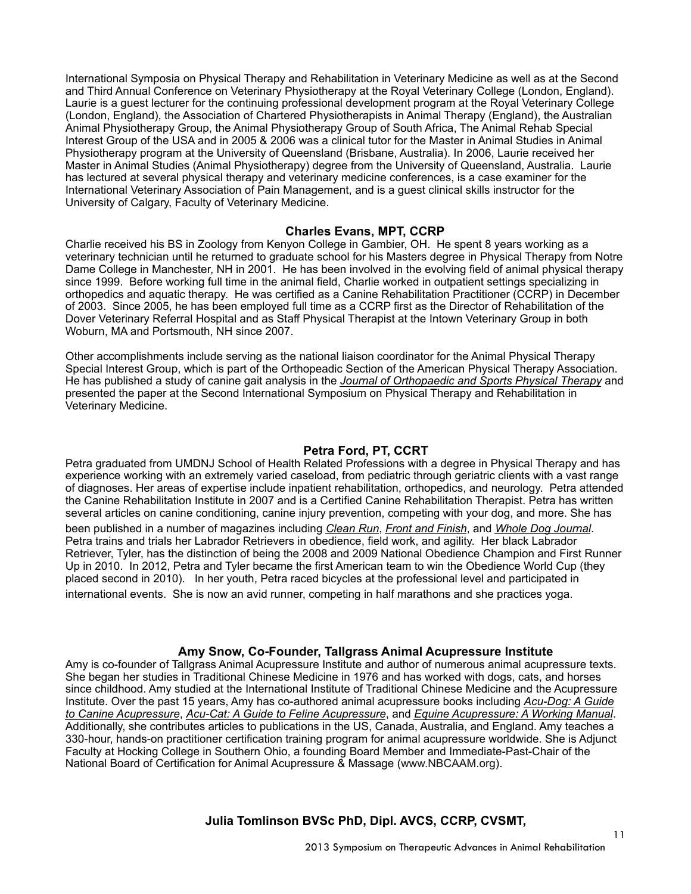International Symposia on Physical Therapy and Rehabilitation in Veterinary Medicine as well as at the Second and Third Annual Conference on Veterinary Physiotherapy at the Royal Veterinary College (London, England). Laurie is a guest lecturer for the continuing professional development program at the Royal Veterinary College (London, England), the Association of Chartered Physiotherapists in Animal Therapy (England), the Australian Animal Physiotherapy Group, the Animal Physiotherapy Group of South Africa, The Animal Rehab Special Interest Group of the USA and in 2005 & 2006 was a clinical tutor for the Master in Animal Studies in Animal Physiotherapy program at the University of Queensland (Brisbane, Australia). In 2006, Laurie received her Master in Animal Studies (Animal Physiotherapy) degree from the University of Queensland, Australia. Laurie has lectured at several physical therapy and veterinary medicine conferences, is a case examiner for the International Veterinary Association of Pain Management, and is a guest clinical skills instructor for the University of Calgary, Faculty of Veterinary Medicine.

#### **Charles Evans, MPT, CCRP**

Charlie received his BS in Zoology from Kenyon College in Gambier, OH. He spent 8 years working as a veterinary technician until he returned to graduate school for his Masters degree in Physical Therapy from Notre Dame College in Manchester, NH in 2001. He has been involved in the evolving field of animal physical therapy since 1999. Before working full time in the animal field, Charlie worked in outpatient settings specializing in orthopedics and aquatic therapy. He was certified as a Canine Rehabilitation Practitioner (CCRP) in December of 2003. Since 2005, he has been employed full time as a CCRP first as the Director of Rehabilitation of the Dover Veterinary Referral Hospital and as Staff Physical Therapist at the Intown Veterinary Group in both Woburn, MA and Portsmouth, NH since 2007.

Other accomplishments include serving as the national liaison coordinator for the Animal Physical Therapy Special Interest Group, which is part of the Orthopeadic Section of the American Physical Therapy Association. He has published a study of canine gait analysis in the *Journal of Orthopaedic and Sports Physical Therapy* and presented the paper at the Second International Symposium on Physical Therapy and Rehabilitation in Veterinary Medicine.

#### **Petra Ford, PT, CCRT**

Petra graduated from UMDNJ School of Health Related Professions with a degree in Physical Therapy and has experience working with an extremely varied caseload, from pediatric through geriatric clients with a vast range of diagnoses. Her areas of expertise include inpatient rehabilitation, orthopedics, and neurology. Petra attended the Canine Rehabilitation Institute in 2007 and is a Certified Canine Rehabilitation Therapist. Petra has written several articles on canine conditioning, canine injury prevention, competing with your dog, and more. She has been published in a number of magazines including *Clean Run*, *Front and Finish*, and *Whole Dog Journal*.Petra trains and trials her Labrador Retrievers in obedience, field work, and agility. Her black Labrador Retriever, Tyler, has the distinction of being the 2008 and 2009 National Obedience Champion and First Runner Up in 2010. In 2012, Petra and Tyler became the first American team to win the Obedience World Cup (they placed second in 2010). In her youth, Petra raced bicycles at the professional level and participated in international events. She is now an avid runner, competing in half marathons and she practices yoga.

#### **Amy Snow, Co-Founder, Tallgrass Animal Acupressure Institute**

Amy is co-founder of Tallgrass Animal Acupressure Institute and author of numerous animal acupressure texts. She began her studies in Traditional Chinese Medicine in 1976 and has worked with dogs, cats, and horses since childhood. Amy studied at the International Institute of Traditional Chinese Medicine and the Acupressure Institute. Over the past 15 years, Amy has co-authored animal acupressure books including *Acu-Dog: A Guide to Canine Acupressure*, *Acu-Cat: A Guide to Feline Acupressure*, and *Equine Acupressure: A Working Manual*. Additionally, she contributes articles to publications in the US, Canada, Australia, and England. Amy teaches a 330-hour, hands-on practitioner certification training program for animal acupressure worldwide. She is Adjunct Faculty at Hocking College in Southern Ohio, a founding Board Member and Immediate-Past-Chair of the National Board of Certification for Animal Acupressure & Massage [\(www.NBCAAM.org](http://www.NBCAAM.org)).

**Julia Tomlinson BVSc PhD, Dipl. AVCS, CCRP, CVSMT,**